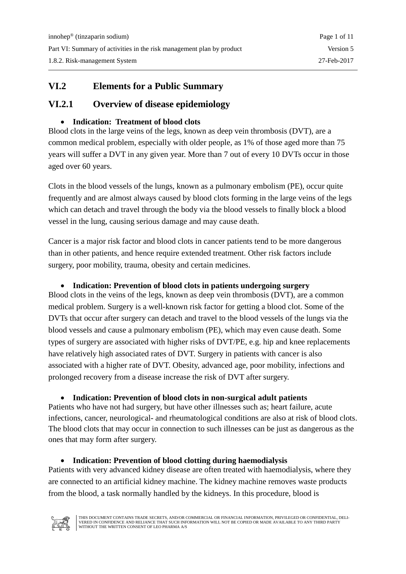### **VI.2 Elements for a Public Summary**

### **VI.2.1 Overview of disease epidemiology**

#### • **Indication: Treatment of blood clots**

Blood clots in the large veins of the legs, known as deep vein thrombosis (DVT), are a common medical problem, especially with older people, as 1% of those aged more than 75 years will suffer a DVT in any given year. More than 7 out of every 10 DVTs occur in those aged over 60 years.

Clots in the blood vessels of the lungs, known as a pulmonary embolism (PE), occur quite frequently and are almost always caused by blood clots forming in the large veins of the legs which can detach and travel through the body via the blood vessels to finally block a blood vessel in the lung, causing serious damage and may cause death.

Cancer is a major risk factor and blood clots in cancer patients tend to be more dangerous than in other patients, and hence require extended treatment. Other risk factors include surgery, poor mobility, trauma, obesity and certain medicines.

#### • **Indication: Prevention of blood clots in patients undergoing surgery**

Blood clots in the veins of the legs, known as deep vein thrombosis (DVT), are a common medical problem. Surgery is a well-known risk factor for getting a blood clot. Some of the DVTs that occur after surgery can detach and travel to the blood vessels of the lungs via the blood vessels and cause a pulmonary embolism (PE), which may even cause death. Some types of surgery are associated with higher risks of DVT/PE, e.g. hip and knee replacements have relatively high associated rates of DVT. Surgery in patients with cancer is also associated with a higher rate of DVT. Obesity, advanced age, poor mobility, infections and prolonged recovery from a disease increase the risk of DVT after surgery.

#### • **Indication: Prevention of blood clots in non-surgical adult patients**

Patients who have not had surgery, but have other illnesses such as; heart failure, acute infections, cancer, neurological- and rheumatological conditions are also at risk of blood clots. The blood clots that may occur in connection to such illnesses can be just as dangerous as the ones that may form after surgery.

#### • **Indication: Prevention of blood clotting during haemodialysis**

Patients with very advanced kidney disease are often treated with haemodialysis, where they are connected to an artificial kidney machine. The kidney machine removes waste products from the blood, a task normally handled by the kidneys. In this procedure, blood is



THIS DOCUMENT CONTAINS TRADE SECRETS, AND/OR COMMERCIAL OR FINANCIAL INFORMATION, PRIVILEGED OR CONFIDENTIAL, DELI-VERED IN CONFIDENCE AND RELIANCE THAT SUCH INFORMATION WILL NOT BE COPIED OR MADE AVAILABLE TO ANY THIRD PARTY WITHOUT THE WRITTEN CONSENT OF LEO PHARMA A/S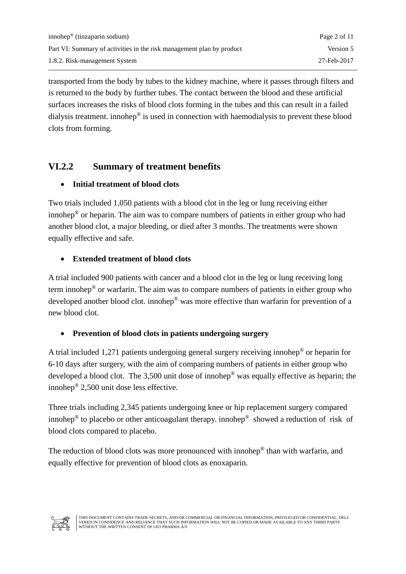transported from the body by tubes to the kidney machine, where it passes through filters and is returned to the body by further tubes. The contact between the blood and these artificial surfaces increases the risks of blood clots forming in the tubes and this can result in a failed dialysis treatment. innohep® is used in connection with haemodialysis to prevent these blood clots from forming.

# **VI.2.2 Summary of treatment benefits**

### • **Initial treatment of blood clots**

Two trials included 1,050 patients with a blood clot in the leg or lung receiving either innohep® or heparin. The aim was to compare numbers of patients in either group who had another blood clot, a major bleeding, or died after 3 months. The treatments were shown equally effective and safe.

## • **Extended treatment of blood clots**

A trial included 900 patients with cancer and a blood clot in the leg or lung receiving long term innohep® or warfarin. The aim was to compare numbers of patients in either group who developed another blood clot. innohep® was more effective than warfarin for prevention of a new blood clot.

## • **Prevention of blood clots in patients undergoing surgery**

A trial included 1,271 patients undergoing general surgery receiving innohep® or heparin for 6-10 days after surgery, with the aim of comparing numbers of patients in either group who developed a blood clot. The 3,500 unit dose of innohep® was equally effective as heparin; the innohep® 2,500 unit dose less effective.

Three trials including 2,345 patients undergoing knee or hip replacement surgery compared innohep<sup>®</sup> to placebo or other anticoagulant therapy. innohep<sup>®</sup> showed a reduction of risk of blood clots compared to placebo.

The reduction of blood clots was more pronounced with innohep<sup>®</sup> than with warfarin, and equally effective for prevention of blood clots as enoxaparin.

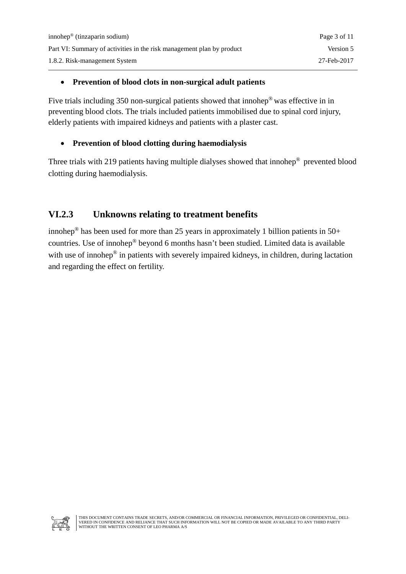#### • **Prevention of blood clots in non-surgical adult patients**

Five trials including 350 non-surgical patients showed that innohep® was effective in in preventing blood clots. The trials included patients immobilised due to spinal cord injury, elderly patients with impaired kidneys and patients with a plaster cast.

#### • **Prevention of blood clotting during haemodialysis**

Three trials with 219 patients having multiple dialyses showed that innohep® prevented blood clotting during haemodialysis.

## **VI.2.3 Unknowns relating to treatment benefits**

innohep<sup>®</sup> has been used for more than 25 years in approximately 1 billion patients in 50+ countries. Use of innohep® beyond 6 months hasn't been studied. Limited data is available with use of innohep<sup>®</sup> in patients with severely impaired kidneys, in children, during lactation and regarding the effect on fertility.



THIS DOCUMENT CONTAINS TRADE SECRETS, AND/OR COMMERCIAL OR FINANCIAL INFORMATION, PRIVILEGED OR CONFIDENTIAL, DELI-VERED IN CONFIDENCE AND RELIANCE THAT SUCH INFORMATION WILL NOT BE COPIED OR MADE AVAILABLE TO ANY THIRD PARTY WITHOUT THE WRITTEN CONSENT OF LEO PHARMA A/S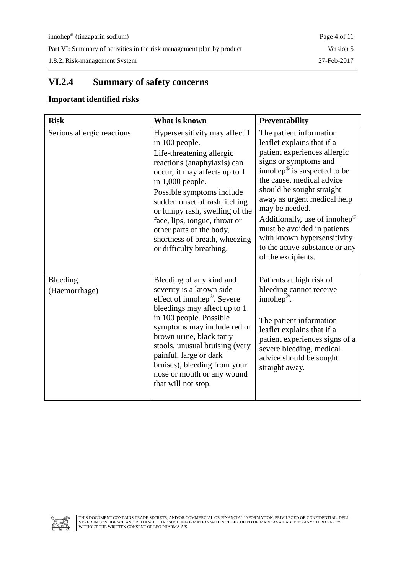1.8.2. Risk-management System 27-Feb-2017

# **VI.2.4 Summary of safety concerns**

#### **Important identified risks**

| <b>Risk</b>                | What is known                                                                                                                                                                                                                                                                                                                                                                                | Preventability                                                                                                                                                                                                                                                                                                                                                                                                               |
|----------------------------|----------------------------------------------------------------------------------------------------------------------------------------------------------------------------------------------------------------------------------------------------------------------------------------------------------------------------------------------------------------------------------------------|------------------------------------------------------------------------------------------------------------------------------------------------------------------------------------------------------------------------------------------------------------------------------------------------------------------------------------------------------------------------------------------------------------------------------|
| Serious allergic reactions | Hypersensitivity may affect 1<br>in 100 people.<br>Life-threatening allergic<br>reactions (anaphylaxis) can<br>occur; it may affects up to 1<br>in $1,000$ people.<br>Possible symptoms include<br>sudden onset of rash, itching<br>or lumpy rash, swelling of the<br>face, lips, tongue, throat or<br>other parts of the body,<br>shortness of breath, wheezing<br>or difficulty breathing. | The patient information<br>leaflet explains that if a<br>patient experiences allergic<br>signs or symptoms and<br>innohep $\mathcal{P}$ is suspected to be<br>the cause, medical advice<br>should be sought straight<br>away as urgent medical help<br>may be needed.<br>Additionally, use of innohep®<br>must be avoided in patients<br>with known hypersensitivity<br>to the active substance or any<br>of the excipients. |
| Bleeding<br>(Haemorrhage)  | Bleeding of any kind and<br>severity is a known side<br>effect of innohep®. Severe<br>bleedings may affect up to 1<br>in 100 people. Possible<br>symptoms may include red or<br>brown urine, black tarry<br>stools, unusual bruising (very<br>painful, large or dark<br>bruises), bleeding from your<br>nose or mouth or any wound<br>that will not stop.                                    | Patients at high risk of<br>bleeding cannot receive<br>innohe $p^{\circledR}$ .<br>The patient information<br>leaflet explains that if a<br>patient experiences signs of a<br>severe bleeding, medical<br>advice should be sought<br>straight away.                                                                                                                                                                          |

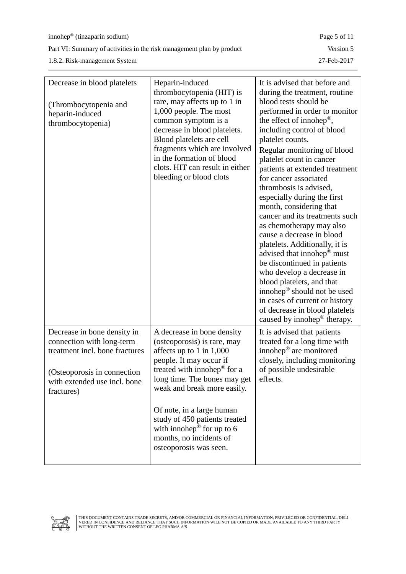Part VI: Summary of activities in the risk management plan by product Version 5

1.8.2. Risk-management System 27-Feb-2017

| Decrease in blood platelets                                                                                                                                              | Heparin-induced                                                                                                                                                                                                                                                                                   | It is advised that before and                                                                                                                                                                                                                                                                                                                                                                                                                                                                                                                                                                                                                                                                                                                                                                              |
|--------------------------------------------------------------------------------------------------------------------------------------------------------------------------|---------------------------------------------------------------------------------------------------------------------------------------------------------------------------------------------------------------------------------------------------------------------------------------------------|------------------------------------------------------------------------------------------------------------------------------------------------------------------------------------------------------------------------------------------------------------------------------------------------------------------------------------------------------------------------------------------------------------------------------------------------------------------------------------------------------------------------------------------------------------------------------------------------------------------------------------------------------------------------------------------------------------------------------------------------------------------------------------------------------------|
| (Thrombocytopenia and<br>heparin-induced<br>thrombocytopenia)                                                                                                            | thrombocytopenia (HIT) is<br>rare, may affects up to 1 in<br>1,000 people. The most<br>common symptom is a<br>decrease in blood platelets.<br>Blood platelets are cell<br>fragments which are involved<br>in the formation of blood<br>clots. HIT can result in either<br>bleeding or blood clots | during the treatment, routine<br>blood tests should be<br>performed in order to monitor<br>the effect of innohep $\mathcal{P}$ ,<br>including control of blood<br>platelet counts.<br>Regular monitoring of blood<br>platelet count in cancer<br>patients at extended treatment<br>for cancer associated<br>thrombosis is advised,<br>especially during the first<br>month, considering that<br>cancer and its treatments such<br>as chemotherapy may also<br>cause a decrease in blood<br>platelets. Additionally, it is<br>advised that innohep <sup>®</sup> must<br>be discontinued in patients<br>who develop a decrease in<br>blood platelets, and that<br>innohep® should not be used<br>in cases of current or history<br>of decrease in blood platelets<br>caused by innohep <sup>®</sup> therapy. |
| Decrease in bone density in<br>connection with long-term<br>treatment incl. bone fractures<br>(Osteoporosis in connection)<br>with extended use incl. bone<br>fractures) | A decrease in bone density<br>(osteoporosis) is rare, may<br>affects up to $1$ in $1,000$<br>people. It may occur if<br>treated with innohep $\mathscr P$ for a<br>long time. The bones may get<br>weak and break more easily.                                                                    | It is advised that patients<br>treated for a long time with<br>innohep <sup>®</sup> are monitored<br>closely, including monitoring<br>of possible undesirable<br>effects.                                                                                                                                                                                                                                                                                                                                                                                                                                                                                                                                                                                                                                  |
|                                                                                                                                                                          | Of note, in a large human<br>study of 450 patients treated<br>with innohep® for up to $6$<br>months, no incidents of<br>osteoporosis was seen.                                                                                                                                                    |                                                                                                                                                                                                                                                                                                                                                                                                                                                                                                                                                                                                                                                                                                                                                                                                            |

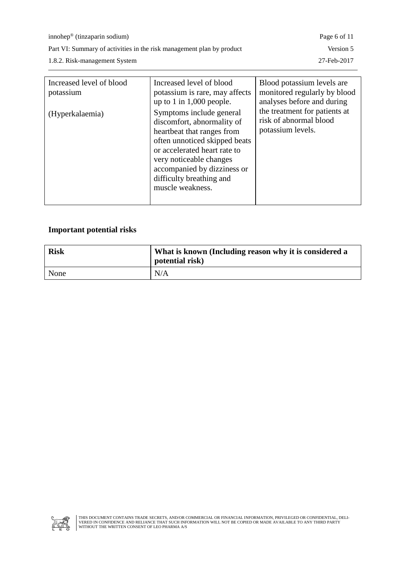innohep® (tinzaparin sodium) Page 6 of 11

Part VI: Summary of activities in the risk management plan by product Version 5

1.8.2. Risk-management System 27-Feb-2017

| Increased level of blood<br>potassium | Increased level of blood<br>potassium is rare, may affects<br>up to 1 in $1,000$ people.                                                                                                                                                                        | Blood potassium levels are<br>monitored regularly by blood<br>analyses before and during |
|---------------------------------------|-----------------------------------------------------------------------------------------------------------------------------------------------------------------------------------------------------------------------------------------------------------------|------------------------------------------------------------------------------------------|
| (Hyperkalaemia)                       | Symptoms include general<br>discomfort, abnormality of<br>heartbeat that ranges from<br>often unnoticed skipped beats<br>or accelerated heart rate to<br>very noticeable changes<br>accompanied by dizziness or<br>difficulty breathing and<br>muscle weakness. | the treatment for patients at<br>risk of abnormal blood<br>potassium levels.             |

#### **Important potential risks**

| <b>Risk</b> | What is known (Including reason why it is considered a<br>potential risk) |
|-------------|---------------------------------------------------------------------------|
| None        | N/A                                                                       |

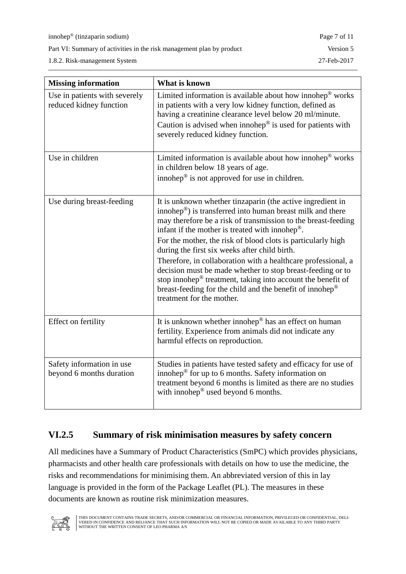innohep® (tinzaparin sodium) Page 7 of 11

Part VI: Summary of activities in the risk management plan by product Version 5

1.8.2. Risk-management System 27-Feb-2017

| <b>Missing information</b>                               | What is known                                                                                                                                                                                                                                                                                                                                                                                                                                                                                                                                                                                                                                                                                         |
|----------------------------------------------------------|-------------------------------------------------------------------------------------------------------------------------------------------------------------------------------------------------------------------------------------------------------------------------------------------------------------------------------------------------------------------------------------------------------------------------------------------------------------------------------------------------------------------------------------------------------------------------------------------------------------------------------------------------------------------------------------------------------|
| Use in patients with severely<br>reduced kidney function | Limited information is available about how innohep $\mathcal{O}$ works<br>in patients with a very low kidney function, defined as<br>having a creatinine clearance level below 20 ml/minute.<br>Caution is advised when innohep $^{\circledR}$ is used for patients with<br>severely reduced kidney function.                                                                                                                                                                                                                                                                                                                                                                                         |
| Use in children                                          | Limited information is available about how innohep $^{\circledR}$ works<br>in children below 18 years of age.<br>innohep $^{\circledR}$ is not approved for use in children.                                                                                                                                                                                                                                                                                                                                                                                                                                                                                                                          |
| Use during breast-feeding                                | It is unknown whether tinzaparin (the active ingredient in<br>innohep <sup>®</sup> ) is transferred into human breast milk and there<br>may therefore be a risk of transmission to the breast-feeding<br>infant if the mother is treated with innohep <sup>®</sup> .<br>For the mother, the risk of blood clots is particularly high<br>during the first six weeks after child birth.<br>Therefore, in collaboration with a healthcare professional, a<br>decision must be made whether to stop breast-feeding or to<br>stop innohep $\mathcal{D}$ treatment, taking into account the benefit of<br>breast-feeding for the child and the benefit of innohep <sup>®</sup><br>treatment for the mother. |
| Effect on fertility                                      | It is unknown whether innohep® has an effect on human<br>fertility. Experience from animals did not indicate any<br>harmful effects on reproduction.                                                                                                                                                                                                                                                                                                                                                                                                                                                                                                                                                  |
| Safety information in use<br>beyond 6 months duration    | Studies in patients have tested safety and efficacy for use of<br>innohep $\mathcal{P}$ for up to 6 months. Safety information on<br>treatment beyond 6 months is limited as there are no studies<br>with innohep® used beyond 6 months.                                                                                                                                                                                                                                                                                                                                                                                                                                                              |

## **VI.2.5 Summary of risk minimisation measures by safety concern**

All medicines have a Summary of Product Characteristics (SmPC) which provides physicians, pharmacists and other health care professionals with details on how to use the medicine, the risks and recommendations for minimising them. An abbreviated version of this in lay language is provided in the form of the Package Leaflet (PL). The measures in these documents are known as routine risk minimization measures.

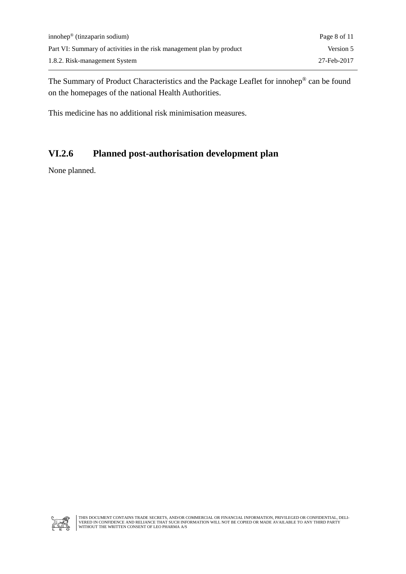The Summary of Product Characteristics and the Package Leaflet for innohep® can be found on the homepages of the national Health Authorities.

This medicine has no additional risk minimisation measures.

## **VI.2.6 Planned post-authorisation development plan**

None planned.

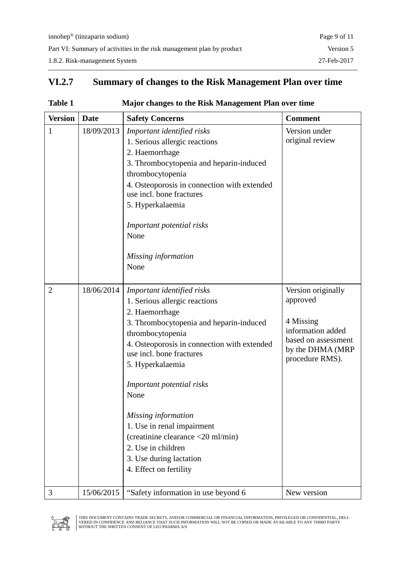# **VI.2.7 Summary of changes to the Risk Management Plan over time**

| Table 1 | Major changes to the Risk Management Plan over time |
|---------|-----------------------------------------------------|
|         |                                                     |

| <b>Version</b> | <b>Date</b> | <b>Safety Concerns</b>                                                                                                                                                                                                                                                                                                                                                                                                                                | <b>Comment</b>                                                                                                                 |
|----------------|-------------|-------------------------------------------------------------------------------------------------------------------------------------------------------------------------------------------------------------------------------------------------------------------------------------------------------------------------------------------------------------------------------------------------------------------------------------------------------|--------------------------------------------------------------------------------------------------------------------------------|
| 1              | 18/09/2013  | Important identified risks<br>1. Serious allergic reactions<br>2. Haemorrhage<br>3. Thrombocytopenia and heparin-induced<br>thrombocytopenia<br>4. Osteoporosis in connection with extended<br>use incl. bone fractures<br>5. Hyperkalaemia<br>Important potential risks<br>None<br>Missing information<br>None                                                                                                                                       | Version under<br>original review                                                                                               |
| $\overline{2}$ | 18/06/2014  | Important identified risks<br>1. Serious allergic reactions<br>2. Haemorrhage<br>3. Thrombocytopenia and heparin-induced<br>thrombocytopenia<br>4. Osteoporosis in connection with extended<br>use incl. bone fractures<br>5. Hyperkalaemia<br>Important potential risks<br>None<br>Missing information<br>1. Use in renal impairment<br>(creatinine clearance <20 ml/min)<br>2. Use in children<br>3. Use during lactation<br>4. Effect on fertility | Version originally<br>approved<br>4 Missing<br>information added<br>based on assessment<br>by the DHMA (MRP<br>procedure RMS). |
| 3              | 15/06/2015  | "Safety information in use beyond 6                                                                                                                                                                                                                                                                                                                                                                                                                   | New version                                                                                                                    |

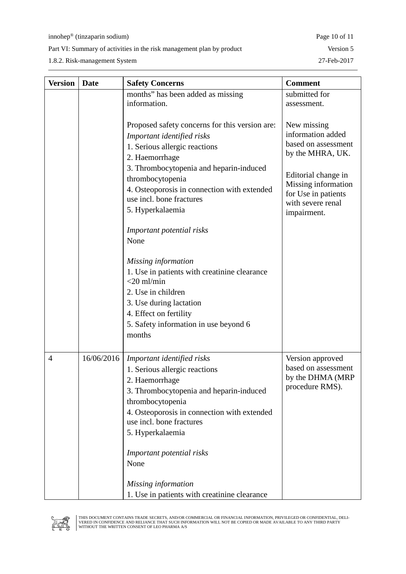1.8.2. Risk-management System 27-Feb-2017

| <b>Version</b> | <b>Date</b> | <b>Safety Concerns</b>                         | <b>Comment</b>                          |
|----------------|-------------|------------------------------------------------|-----------------------------------------|
|                |             | months" has been added as missing              | submitted for                           |
|                |             | information.                                   | assessment.                             |
|                |             |                                                |                                         |
|                |             | Proposed safety concerns for this version are: | New missing                             |
|                |             | Important identified risks                     | information added                       |
|                |             | 1. Serious allergic reactions                  | based on assessment<br>by the MHRA, UK. |
|                |             | 2. Haemorrhage                                 |                                         |
|                |             | 3. Thrombocytopenia and heparin-induced        | Editorial change in                     |
|                |             | thrombocytopenia                               | Missing information                     |
|                |             | 4. Osteoporosis in connection with extended    | for Use in patients                     |
|                |             | use incl. bone fractures                       | with severe renal                       |
|                |             | 5. Hyperkalaemia                               | impairment.                             |
|                |             | Important potential risks                      |                                         |
|                |             | None                                           |                                         |
|                |             |                                                |                                         |
|                |             | Missing information                            |                                         |
|                |             | 1. Use in patients with creatinine clearance   |                                         |
|                |             | $<$ 20 ml/min                                  |                                         |
|                |             | 2. Use in children                             |                                         |
|                |             | 3. Use during lactation                        |                                         |
|                |             | 4. Effect on fertility                         |                                         |
|                |             | 5. Safety information in use beyond 6          |                                         |
|                |             | months                                         |                                         |
|                |             |                                                |                                         |
| $\overline{4}$ | 16/06/2016  | Important identified risks                     | Version approved                        |
|                |             | 1. Serious allergic reactions                  | based on assessment                     |
|                |             | 2. Haemorrhage                                 | by the DHMA (MRP                        |
|                |             | 3. Thrombocytopenia and heparin-induced        | procedure RMS).                         |
|                |             | thrombocytopenia                               |                                         |
|                |             | 4. Osteoporosis in connection with extended    |                                         |
|                |             | use incl. bone fractures                       |                                         |
|                |             | 5. Hyperkalaemia                               |                                         |
|                |             | Important potential risks                      |                                         |
|                |             | None                                           |                                         |
|                |             |                                                |                                         |
|                |             | Missing information                            |                                         |
|                |             | 1. Use in patients with creatinine clearance   |                                         |